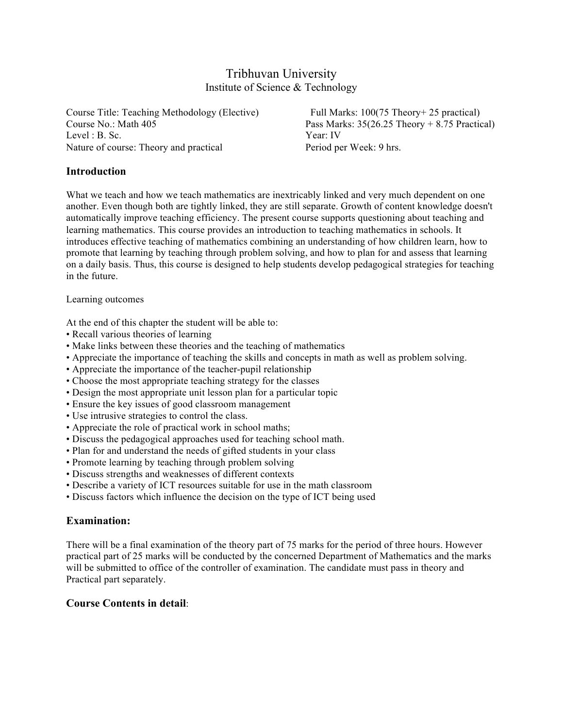## Tribhuvan University Institute of Science & Technology

Course Title: Teaching Methodology (Elective) Full Marks: 100(75 Theory+ 25 practical) Level : B. Sc. Year: IV Nature of course: Theory and practical Period per Week: 9 hrs.

Course No.: Math 405 Pass Marks: 35(26.25 Theory + 8.75 Practical)

### **Introduction**

What we teach and how we teach mathematics are inextricably linked and very much dependent on one another. Even though both are tightly linked, they are still separate. Growth of content knowledge doesn't automatically improve teaching efficiency. The present course supports questioning about teaching and learning mathematics. This course provides an introduction to teaching mathematics in schools. It introduces effective teaching of mathematics combining an understanding of how children learn, how to promote that learning by teaching through problem solving, and how to plan for and assess that learning on a daily basis. Thus, this course is designed to help students develop pedagogical strategies for teaching in the future.

#### Learning outcomes

At the end of this chapter the student will be able to:

- Recall various theories of learning
- Make links between these theories and the teaching of mathematics
- Appreciate the importance of teaching the skills and concepts in math as well as problem solving.
- Appreciate the importance of the teacher-pupil relationship
- Choose the most appropriate teaching strategy for the classes
- Design the most appropriate unit lesson plan for a particular topic
- Ensure the key issues of good classroom management
- Use intrusive strategies to control the class.
- Appreciate the role of practical work in school maths;
- Discuss the pedagogical approaches used for teaching school math.
- Plan for and understand the needs of gifted students in your class
- Promote learning by teaching through problem solving
- Discuss strengths and weaknesses of different contexts
- Describe a variety of ICT resources suitable for use in the math classroom
- Discuss factors which influence the decision on the type of ICT being used

#### **Examination:**

There will be a final examination of the theory part of 75 marks for the period of three hours. However practical part of 25 marks will be conducted by the concerned Department of Mathematics and the marks will be submitted to office of the controller of examination. The candidate must pass in theory and Practical part separately.

#### **Course Contents in detail**: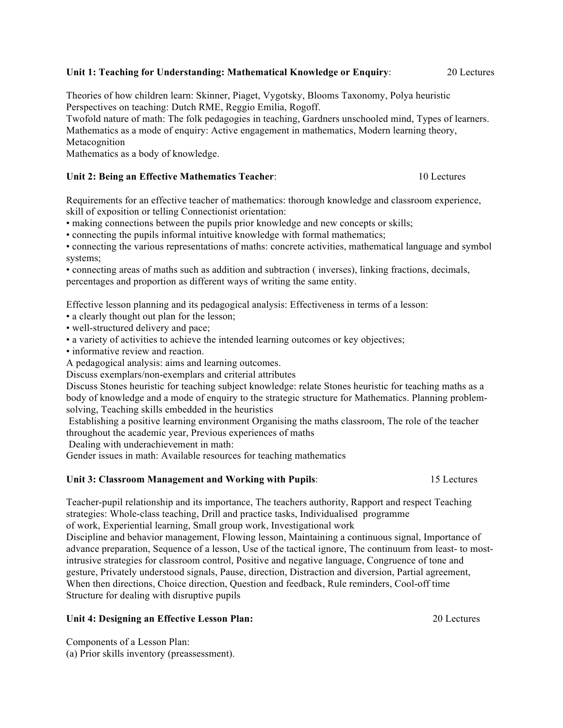#### **Unit 1: Teaching for Understanding: Mathematical Knowledge or Enquiry**: 20 Lectures

Theories of how children learn: Skinner, Piaget, Vygotsky, Blooms Taxonomy, Polya heuristic Perspectives on teaching: Dutch RME, Reggio Emilia, Rogoff.

Twofold nature of math: The folk pedagogies in teaching, Gardners unschooled mind, Types of learners. Mathematics as a mode of enquiry: Active engagement in mathematics, Modern learning theory, Metacognition

Mathematics as a body of knowledge.

#### **Unit 2: Being an Effective Mathematics Teacher:** 10 Lectures

Requirements for an effective teacher of mathematics: thorough knowledge and classroom experience, skill of exposition or telling Connectionist orientation:

• making connections between the pupils prior knowledge and new concepts or skills;

• connecting the pupils informal intuitive knowledge with formal mathematics;

• connecting the various representations of maths: concrete activities, mathematical language and symbol systems;

• connecting areas of maths such as addition and subtraction ( inverses), linking fractions, decimals, percentages and proportion as different ways of writing the same entity.

Effective lesson planning and its pedagogical analysis: Effectiveness in terms of a lesson:

- a clearly thought out plan for the lesson;
- well-structured delivery and pace;
- a variety of activities to achieve the intended learning outcomes or key objectives;

• informative review and reaction.

A pedagogical analysis: aims and learning outcomes.

Discuss exemplars/non-exemplars and criterial attributes

Discuss Stones heuristic for teaching subject knowledge: relate Stones heuristic for teaching maths as a body of knowledge and a mode of enquiry to the strategic structure for Mathematics. Planning problemsolving, Teaching skills embedded in the heuristics

Establishing a positive learning environment Organising the maths classroom, The role of the teacher throughout the academic year, Previous experiences of maths

Dealing with underachievement in math:

Gender issues in math: Available resources for teaching mathematics

#### **Unit 3: Classroom Management and Working with Pupils**: 15 Lectures

Teacher-pupil relationship and its importance, The teachers authority, Rapport and respect Teaching strategies: Whole-class teaching, Drill and practice tasks, Individualised programme of work, Experiential learning, Small group work, Investigational work

Discipline and behavior management, Flowing lesson, Maintaining a continuous signal, Importance of advance preparation, Sequence of a lesson, Use of the tactical ignore, The continuum from least- to mostintrusive strategies for classroom control, Positive and negative language, Congruence of tone and gesture, Privately understood signals, Pause, direction, Distraction and diversion, Partial agreement, When then directions, Choice direction, Question and feedback, Rule reminders, Cool-off time Structure for dealing with disruptive pupils

### **Unit 4: Designing an Effective Lesson Plan:** 20 Lectures

Components of a Lesson Plan: (a) Prior skills inventory (preassessment).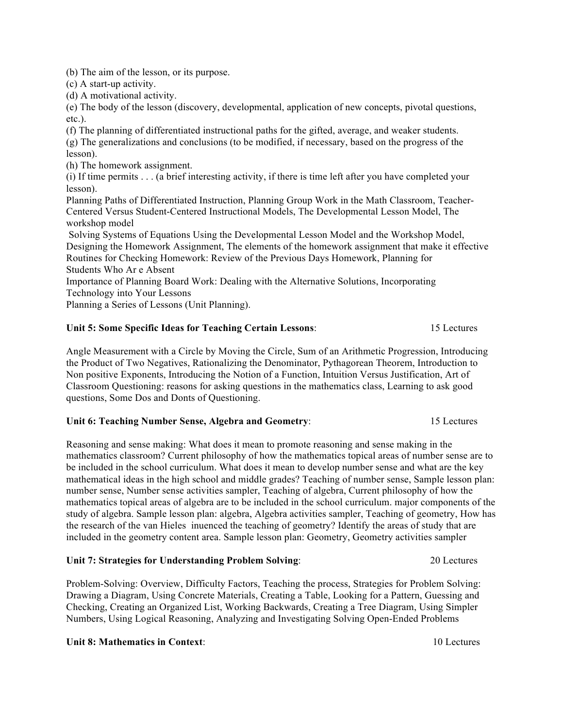(b) The aim of the lesson, or its purpose.

(c) A start-up activity.

(d) A motivational activity.

(e) The body of the lesson (discovery, developmental, application of new concepts, pivotal questions, etc.).

(f) The planning of differentiated instructional paths for the gifted, average, and weaker students.

(g) The generalizations and conclusions (to be modified, if necessary, based on the progress of the lesson).

(h) The homework assignment.

(i) If time permits . . . (a brief interesting activity, if there is time left after you have completed your lesson).

Planning Paths of Differentiated Instruction, Planning Group Work in the Math Classroom, Teacher-Centered Versus Student-Centered Instructional Models, The Developmental Lesson Model, The workshop model

Solving Systems of Equations Using the Developmental Lesson Model and the Workshop Model, Designing the Homework Assignment, The elements of the homework assignment that make it effective Routines for Checking Homework: Review of the Previous Days Homework, Planning for Students Who Ar e Absent

Importance of Planning Board Work: Dealing with the Alternative Solutions, Incorporating Technology into Your Lessons

Planning a Series of Lessons (Unit Planning).

### **Unit 5: Some Specific Ideas for Teaching Certain Lessons**: 15 Lectures

Angle Measurement with a Circle by Moving the Circle, Sum of an Arithmetic Progression, Introducing the Product of Two Negatives, Rationalizing the Denominator, Pythagorean Theorem, Introduction to Non positive Exponents, Introducing the Notion of a Function, Intuition Versus Justification, Art of Classroom Questioning: reasons for asking questions in the mathematics class, Learning to ask good questions, Some Dos and Donts of Questioning.

#### **Unit 6: Teaching Number Sense, Algebra and Geometry**: 15 Lectures

Reasoning and sense making: What does it mean to promote reasoning and sense making in the mathematics classroom? Current philosophy of how the mathematics topical areas of number sense are to be included in the school curriculum. What does it mean to develop number sense and what are the key mathematical ideas in the high school and middle grades? Teaching of number sense, Sample lesson plan: number sense, Number sense activities sampler, Teaching of algebra, Current philosophy of how the mathematics topical areas of algebra are to be included in the school curriculum. major components of the study of algebra. Sample lesson plan: algebra, Algebra activities sampler, Teaching of geometry, How has the research of the van Hieles inuenced the teaching of geometry? Identify the areas of study that are included in the geometry content area. Sample lesson plan: Geometry, Geometry activities sampler

#### **Unit 7: Strategies for Understanding Problem Solving**: 20 Lectures

Problem-Solving: Overview, Difficulty Factors, Teaching the process, Strategies for Problem Solving: Drawing a Diagram, Using Concrete Materials, Creating a Table, Looking for a Pattern, Guessing and Checking, Creating an Organized List, Working Backwards, Creating a Tree Diagram, Using Simpler Numbers, Using Logical Reasoning, Analyzing and Investigating Solving Open-Ended Problems

#### **Unit 8: Mathematics in Context:** 10 Lectures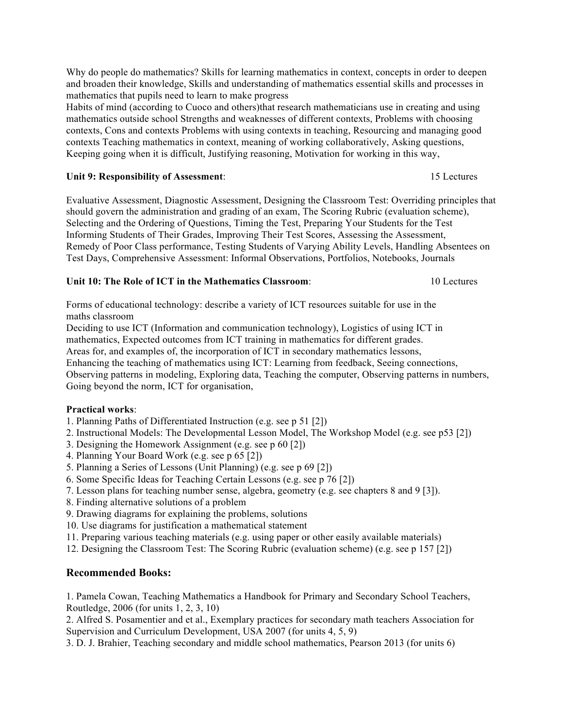Why do people do mathematics? Skills for learning mathematics in context, concepts in order to deepen and broaden their knowledge, Skills and understanding of mathematics essential skills and processes in mathematics that pupils need to learn to make progress

Habits of mind (according to Cuoco and others)that research mathematicians use in creating and using mathematics outside school Strengths and weaknesses of different contexts, Problems with choosing contexts, Cons and contexts Problems with using contexts in teaching, Resourcing and managing good contexts Teaching mathematics in context, meaning of working collaboratively, Asking questions, Keeping going when it is difficult, Justifying reasoning, Motivation for working in this way,

## Unit 9: Responsibility of Assessment: 15 Lectures

Evaluative Assessment, Diagnostic Assessment, Designing the Classroom Test: Overriding principles that should govern the administration and grading of an exam, The Scoring Rubric (evaluation scheme), Selecting and the Ordering of Questions, Timing the Test, Preparing Your Students for the Test Informing Students of Their Grades, Improving Their Test Scores, Assessing the Assessment, Remedy of Poor Class performance, Testing Students of Varying Ability Levels, Handling Absentees on Test Days, Comprehensive Assessment: Informal Observations, Portfolios, Notebooks, Journals

## **Unit 10: The Role of ICT in the Mathematics Classroom**: 10 Lectures

Forms of educational technology: describe a variety of ICT resources suitable for use in the maths classroom

Deciding to use ICT (Information and communication technology), Logistics of using ICT in mathematics, Expected outcomes from ICT training in mathematics for different grades. Areas for, and examples of, the incorporation of ICT in secondary mathematics lessons, Enhancing the teaching of mathematics using ICT: Learning from feedback, Seeing connections, Observing patterns in modeling, Exploring data, Teaching the computer, Observing patterns in numbers, Going beyond the norm, ICT for organisation,

## **Practical works**:

- 1. Planning Paths of Differentiated Instruction (e.g. see p 51 [2])
- 2. Instructional Models: The Developmental Lesson Model, The Workshop Model (e.g. see p53 [2])
- 3. Designing the Homework Assignment (e.g. see p 60 [2])
- 4. Planning Your Board Work (e.g. see p 65 [2])
- 5. Planning a Series of Lessons (Unit Planning) (e.g. see p 69 [2])
- 6. Some Specific Ideas for Teaching Certain Lessons (e.g. see p 76 [2])
- 7. Lesson plans for teaching number sense, algebra, geometry (e.g. see chapters 8 and 9 [3]).
- 8. Finding alternative solutions of a problem
- 9. Drawing diagrams for explaining the problems, solutions
- 10. Use diagrams for justification a mathematical statement
- 11. Preparing various teaching materials (e.g. using paper or other easily available materials)
- 12. Designing the Classroom Test: The Scoring Rubric (evaluation scheme) (e.g. see p 157 [2])

# **Recommended Books:**

1. Pamela Cowan, Teaching Mathematics a Handbook for Primary and Secondary School Teachers, Routledge, 2006 (for units 1, 2, 3, 10)

2. Alfred S. Posamentier and et al., Exemplary practices for secondary math teachers Association for Supervision and Curriculum Development, USA 2007 (for units 4, 5, 9)

3. D. J. Brahier, Teaching secondary and middle school mathematics, Pearson 2013 (for units 6)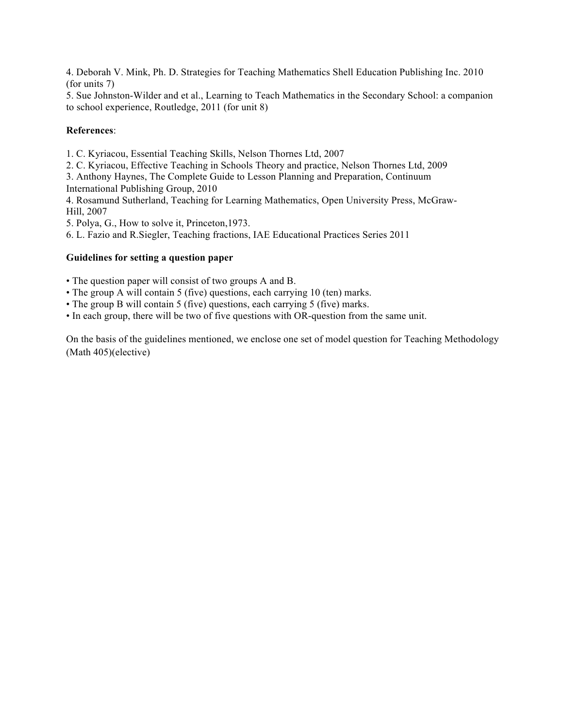4. Deborah V. Mink, Ph. D. Strategies for Teaching Mathematics Shell Education Publishing Inc. 2010 (for units 7)

5. Sue Johnston-Wilder and et al., Learning to Teach Mathematics in the Secondary School: a companion to school experience, Routledge, 2011 (for unit 8)

#### **References**:

1. C. Kyriacou, Essential Teaching Skills, Nelson Thornes Ltd, 2007

2. C. Kyriacou, Effective Teaching in Schools Theory and practice, Nelson Thornes Ltd, 2009

3. Anthony Haynes, The Complete Guide to Lesson Planning and Preparation, Continuum

International Publishing Group, 2010

4. Rosamund Sutherland, Teaching for Learning Mathematics, Open University Press, McGraw-Hill, 2007

5. Polya, G., How to solve it, Princeton,1973.

6. L. Fazio and R.Siegler, Teaching fractions, IAE Educational Practices Series 2011

### **Guidelines for setting a question paper**

• The question paper will consist of two groups A and B.

- The group A will contain 5 (five) questions, each carrying 10 (ten) marks.
- The group B will contain 5 (five) questions, each carrying 5 (five) marks.

• In each group, there will be two of five questions with OR-question from the same unit.

On the basis of the guidelines mentioned, we enclose one set of model question for Teaching Methodology (Math 405)(elective)